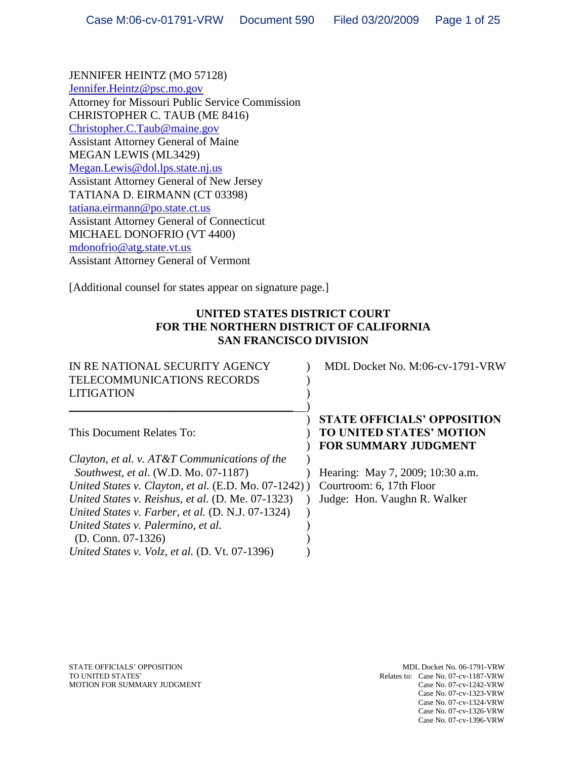JENNIFER HEINTZ (MO 57128) [Jennifer.Heintz@psc.mo.gov](mailto:Jennifer.Heintz@psc.mo.gov) Attorney for Missouri Public Service Commission CHRISTOPHER C. TAUB (ME 8416) [Christopher.C.Taub@maine.gov](mailto:Christopher.C.Taub@maine.gov) Assistant Attorney General of Maine MEGAN LEWIS (ML3429) [Megan.Lewis@dol.lps.state.nj.us](mailto:Megan.Lewis@dol.lps.state.nj.us) Assistant Attorney General of New Jersey TATIANA D. EIRMANN (CT 03398) [tatiana.eirmann@po.state.ct.us](mailto:tatiana.eirmann@po.state.ct.us) Assistant Attorney General of Connecticut MICHAEL DONOFRIO (VT 4400) [mdonofrio@atg.state.vt.us](mailto:mdonofrio@atg.state.vt.us) Assistant Attorney General of Vermont

[Additional counsel for states appear on signature page.]

# **UNITED STATES DISTRICT COURT FOR THE NORTHERN DISTRICT OF CALIFORNIA SAN FRANCISCO DIVISION**

| IN RE NATIONAL SECURITY AGENCY<br><b>TELECOMMUNICATIONS RECORDS</b><br><b>LITIGATION</b> | MDL Docket No. M:06-cv-1791-VRW                                                                      |
|------------------------------------------------------------------------------------------|------------------------------------------------------------------------------------------------------|
| This Document Relates To:                                                                | <b>STATE OFFICIALS' OPPOSITION</b><br><b>TO UNITED STATES' MOTION</b><br><b>FOR SUMMARY JUDGMENT</b> |
| Clayton, et al. v. AT&T Communications of the                                            |                                                                                                      |
| Southwest, et al. (W.D. Mo. 07-1187)                                                     | Hearing: May 7, 2009; 10:30 a.m.                                                                     |
| United States v. Clayton, et al. (E.D. Mo. 07-1242))                                     | Courtroom: 6, 17th Floor                                                                             |
| United States v. Reishus, et al. (D. Me. 07-1323)                                        | Judge: Hon. Vaughn R. Walker                                                                         |
| United States v. Farber, et al. (D. N.J. 07-1324)                                        |                                                                                                      |
| United States v. Palermino, et al.                                                       |                                                                                                      |
| $(D. Conn. 07-1326)$                                                                     |                                                                                                      |
| United States v. Volz, et al. (D. Vt. 07-1396)                                           |                                                                                                      |

STATE OFFICIALS' OPPOSITION **MDL Docket No. 06-1791-VRW** TO UNITED STATES' Relates to: Case No. 07-cv-1187-VRW MOTION FOR SUMMARY JUDGMENT Case No. 07-cv-1242-VRW Case No. 07-cv-1242-VRW MOTION FOR SUMMARY JUDGMENT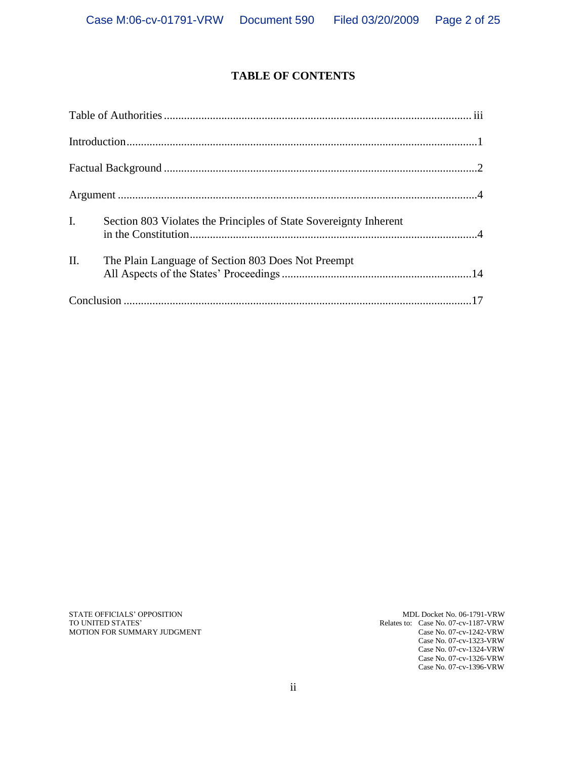# **TABLE OF CONTENTS**

| $\mathbf{I}$ .  |                                                    |  |
|-----------------|----------------------------------------------------|--|
| $\mathbf{II}$ . | The Plain Language of Section 803 Does Not Preempt |  |
|                 |                                                    |  |

STATE OFFICIALS' OPPOSITION MDL Docket No. 06-1791-VRW MDL Docket No. 06-1791-VRW TO UNITED STATES' MOTION FOR SUMMARY JUDGMENT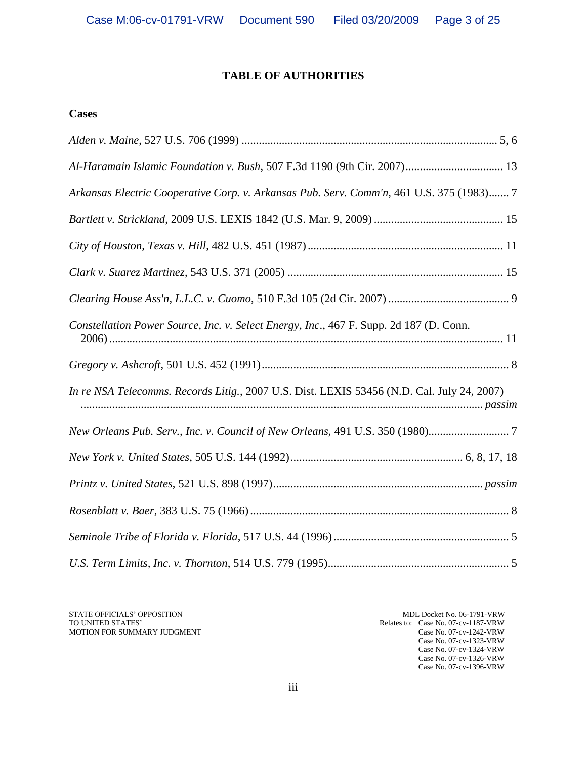# **TABLE OF AUTHORITIES**

### **Cases**

| Arkansas Electric Cooperative Corp. v. Arkansas Pub. Serv. Comm'n, 461 U.S. 375 (1983) 7   |
|--------------------------------------------------------------------------------------------|
|                                                                                            |
|                                                                                            |
|                                                                                            |
|                                                                                            |
| Constellation Power Source, Inc. v. Select Energy, Inc., 467 F. Supp. 2d 187 (D. Conn.     |
|                                                                                            |
| In re NSA Telecomms. Records Litig., 2007 U.S. Dist. LEXIS 53456 (N.D. Cal. July 24, 2007) |
| New Orleans Pub. Serv., Inc. v. Council of New Orleans, 491 U.S. 350 (1980)                |
|                                                                                            |
|                                                                                            |
|                                                                                            |
|                                                                                            |
|                                                                                            |

STATE OFFICIALS' OPPOSITION MDL Docket No. 06-1791-VRW MDL Docket No. 06-1791-VRW TO UNITED STATES' MOTION FOR SUMMARY JUDGMENT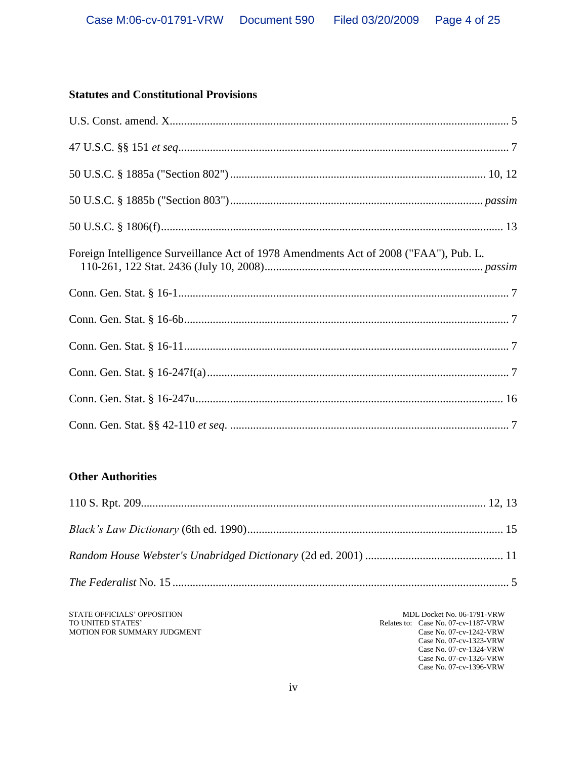## **Statutes and Constitutional Provisions**

| Foreign Intelligence Surveillance Act of 1978 Amendments Act of 2008 ("FAA"), Pub. L. |  |
|---------------------------------------------------------------------------------------|--|
|                                                                                       |  |
|                                                                                       |  |
|                                                                                       |  |
|                                                                                       |  |
|                                                                                       |  |
|                                                                                       |  |

# **Other Authorities**

STATE OFFICIALS' OPPOSITION TO UNITED STATES' MOTION FOR SUMMARY JUDGMENT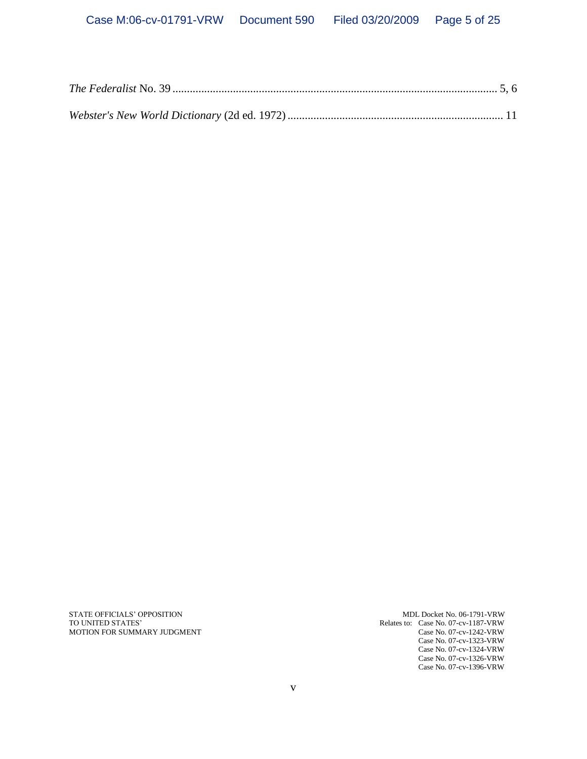STATE OFFICIALS' OPPOSITION MDL Docket No. 06-1791-VRW MDL Docket No. 06-1791-VRW TO UNITED STATES' MOTION FOR SUMMARY JUDGMENT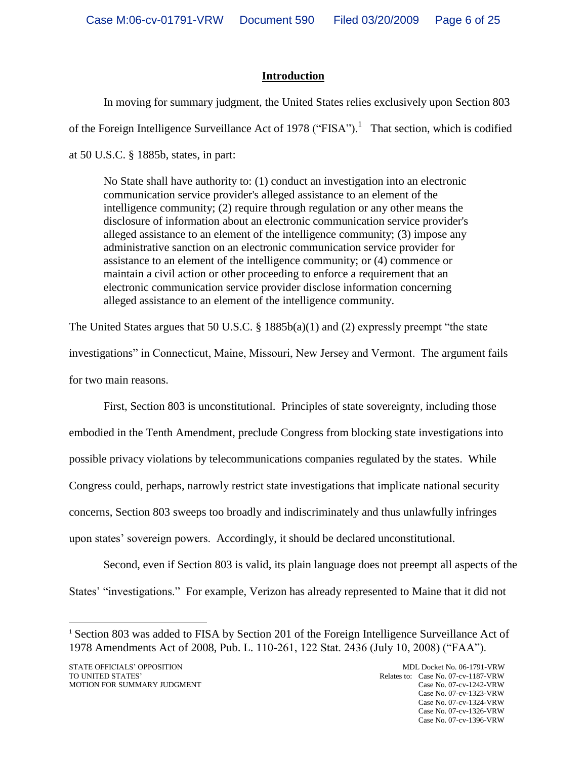# **Introduction**

In moving for summary judgment, the United States relies exclusively upon Section 803 of the Foreign Intelligence Surveillance Act of 1978 ("FISA").<sup>1</sup> That section, which is codified at 50 U.S.C. § 1885b, states, in part:

No State shall have authority to: (1) conduct an investigation into an electronic communication service provider's alleged assistance to an element of the intelligence community; (2) require through regulation or any other means the disclosure of information about an electronic communication service provider's alleged assistance to an element of the intelligence community; (3) impose any administrative sanction on an electronic communication service provider for assistance to an element of the intelligence community; or (4) commence or maintain a civil action or other proceeding to enforce a requirement that an electronic communication service provider disclose information concerning alleged assistance to an element of the intelligence community.

The United States argues that 50 U.S.C. § 1885b(a)(1) and (2) expressly preempt "the state investigations" in Connecticut, Maine, Missouri, New Jersey and Vermont. The argument fails for two main reasons.

First, Section 803 is unconstitutional. Principles of state sovereignty, including those embodied in the Tenth Amendment, preclude Congress from blocking state investigations into possible privacy violations by telecommunications companies regulated by the states. While Congress could, perhaps, narrowly restrict state investigations that implicate national security concerns, Section 803 sweeps too broadly and indiscriminately and thus unlawfully infringes upon states" sovereign powers. Accordingly, it should be declared unconstitutional.

Second, even if Section 803 is valid, its plain language does not preempt all aspects of the States' "investigations." For example, Verizon has already represented to Maine that it did not

<sup>&</sup>lt;sup>1</sup> Section 803 was added to FISA by Section 201 of the Foreign Intelligence Surveillance Act of 1978 Amendments Act of 2008, Pub. L. 110-261, 122 Stat. 2436 (July 10, 2008) ("FAA").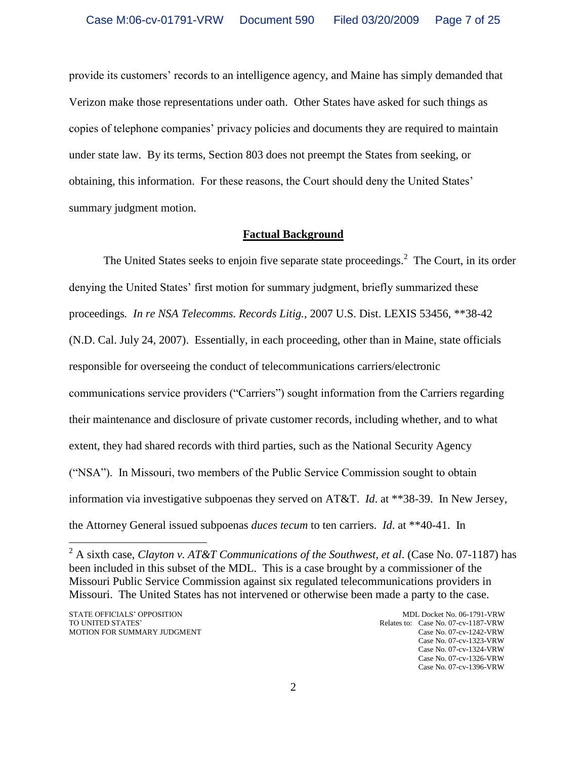provide its customers" records to an intelligence agency, and Maine has simply demanded that Verizon make those representations under oath. Other States have asked for such things as copies of telephone companies" privacy policies and documents they are required to maintain under state law. By its terms, Section 803 does not preempt the States from seeking, or obtaining, this information. For these reasons, the Court should deny the United States" summary judgment motion.

## **Factual Background**

The United States seeks to enjoin five separate state proceedings.<sup>2</sup> The Court, in its order denying the United States' first motion for summary judgment, briefly summarized these proceedings*. In re NSA Telecomms. Records Litig.*, 2007 U.S. Dist. LEXIS 53456, \*\*38-42 (N.D. Cal. July 24, 2007). Essentially, in each proceeding, other than in Maine, state officials responsible for overseeing the conduct of telecommunications carriers/electronic communications service providers ("Carriers") sought information from the Carriers regarding their maintenance and disclosure of private customer records, including whether, and to what extent, they had shared records with third parties, such as the National Security Agency ("NSA"). In Missouri, two members of the Public Service Commission sought to obtain information via investigative subpoenas they served on AT&T. *Id*. at \*\*38-39. In New Jersey, the Attorney General issued subpoenas *duces tecum* to ten carriers. *Id*. at \*\*40-41. In

<sup>2</sup> A sixth case, *Clayton v. AT&T Communications of the Southwest, et al*. (Case No. 07-1187) has been included in this subset of the MDL. This is a case brought by a commissioner of the Missouri Public Service Commission against six regulated telecommunications providers in Missouri. The United States has not intervened or otherwise been made a party to the case.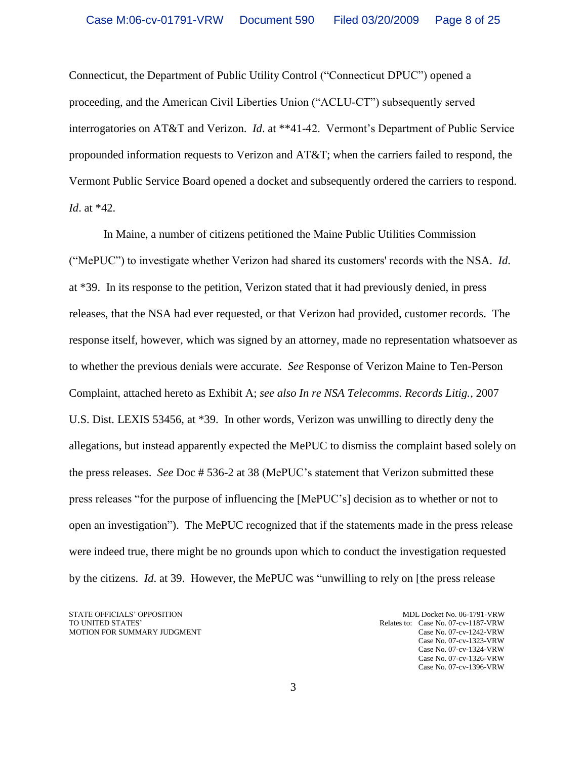Connecticut, the Department of Public Utility Control ("Connecticut DPUC") opened a proceeding, and the American Civil Liberties Union ("ACLU-CT") subsequently served interrogatories on AT&T and Verizon. *Id.* at \*\*41-42. Vermont's Department of Public Service propounded information requests to Verizon and AT&T; when the carriers failed to respond, the Vermont Public Service Board opened a docket and subsequently ordered the carriers to respond. *Id*. at \*42.

In Maine, a number of citizens petitioned the Maine Public Utilities Commission ("MePUC") to investigate whether Verizon had shared its customers' records with the NSA. *Id*. at \*39. In its response to the petition, Verizon stated that it had previously denied, in press releases, that the NSA had ever requested, or that Verizon had provided, customer records. The response itself, however, which was signed by an attorney, made no representation whatsoever as to whether the previous denials were accurate. *See* Response of Verizon Maine to Ten-Person Complaint, attached hereto as Exhibit A; *see also In re NSA Telecomms. Records Litig.*, 2007 U.S. Dist. LEXIS 53456, at \*39. In other words, Verizon was unwilling to directly deny the allegations, but instead apparently expected the MePUC to dismiss the complaint based solely on the press releases. *See* Doc # 536-2 at 38 (MePUC"s statement that Verizon submitted these press releases "for the purpose of influencing the [MePUC"s] decision as to whether or not to open an investigation"). The MePUC recognized that if the statements made in the press release were indeed true, there might be no grounds upon which to conduct the investigation requested by the citizens. *Id*. at 39. However, the MePUC was "unwilling to rely on [the press release

STATE OFFICIALS' OPPOSITION MDL Docket No. 06-1791-VRW<br>TO UNITED STATES' Relates to: Case No. 07-cv-1187-VRW MOTION FOR SUMMARY JUDGMENT Case No. 07-cv-1242-VRW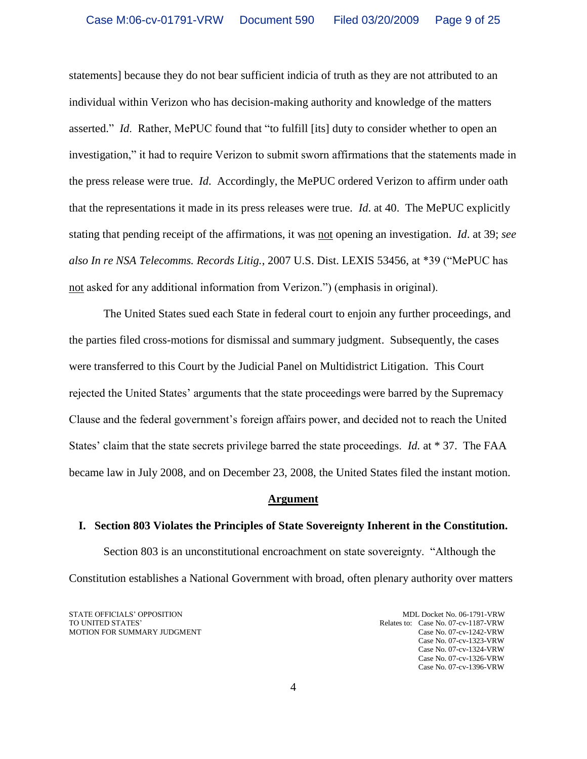statements] because they do not bear sufficient indicia of truth as they are not attributed to an individual within Verizon who has decision-making authority and knowledge of the matters asserted." *Id*. Rather, MePUC found that "to fulfill [its] duty to consider whether to open an investigation," it had to require Verizon to submit sworn affirmations that the statements made in the press release were true. *Id*. Accordingly, the MePUC ordered Verizon to affirm under oath that the representations it made in its press releases were true. *Id*. at 40. The MePUC explicitly stating that pending receipt of the affirmations, it was not opening an investigation. *Id*. at 39; *see also In re NSA Telecomms. Records Litig.*, 2007 U.S. Dist. LEXIS 53456, at \*39 ("MePUC has not asked for any additional information from Verizon.") (emphasis in original).

The United States sued each State in federal court to enjoin any further proceedings, and the parties filed cross-motions for dismissal and summary judgment. Subsequently, the cases were transferred to this Court by the Judicial Panel on Multidistrict Litigation. This Court rejected the United States" arguments that the state proceedings were barred by the Supremacy Clause and the federal government"s foreign affairs power, and decided not to reach the United States" claim that the state secrets privilege barred the state proceedings. *Id.* at \* 37. The FAA became law in July 2008, and on December 23, 2008, the United States filed the instant motion.

#### **Argument**

### **I. Section 803 Violates the Principles of State Sovereignty Inherent in the Constitution.**

Section 803 is an unconstitutional encroachment on state sovereignty. "Although the Constitution establishes a National Government with broad, often plenary authority over matters

STATE OFFICIALS' OPPOSITION MDL Docket No. 06-1791-VRW<br>TO UNITED STATES' Relates to: Case No. 07-cv-1187-VRW MOTION FOR SUMMARY JUDGMENT Case No. 07-cv-1242-VRW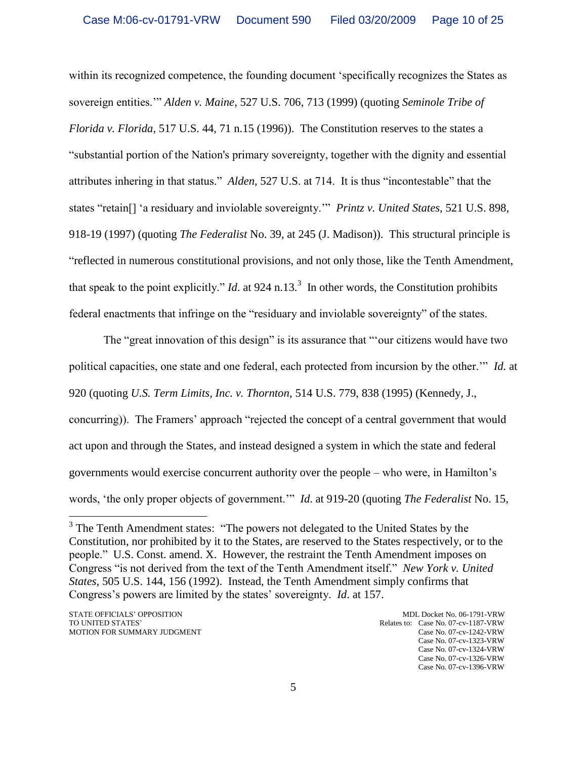within its recognized competence, the founding document "specifically recognizes the States as sovereign entities."" *Alden v. Maine*, 527 U.S. 706, 713 (1999) (quoting *Seminole Tribe of Florida v. Florida*, 517 U.S. 44, 71 n.15 (1996)). The Constitution reserves to the states a "substantial portion of the Nation's primary sovereignty, together with the dignity and essential attributes inhering in that status." *Alden*, 527 U.S. at 714. It is thus "incontestable" that the states "retain[] "a residuary and inviolable sovereignty."" *Printz v. United States*, 521 U.S. 898, 918-19 (1997) (quoting *The Federalist* No. 39, at 245 (J. Madison)). This structural principle is "reflected in numerous constitutional provisions, and not only those, like the Tenth Amendment, that speak to the point explicitly." *Id*. at 924 n.13.<sup>3</sup> In other words, the Constitution prohibits federal enactments that infringe on the "residuary and inviolable sovereignty" of the states.

The "great innovation of this design" is its assurance that ""our citizens would have two political capacities, one state and one federal, each protected from incursion by the other."" *Id.* at 920 (quoting *U.S. Term Limits, Inc. v. Thornton*, 514 U.S. 779, 838 (1995) (Kennedy, J., concurring)). The Framers" approach "rejected the concept of a central government that would act upon and through the States, and instead designed a system in which the state and federal governments would exercise concurrent authority over the people – who were, in Hamilton"s words, "the only proper objects of government."" *Id*. at 919-20 (quoting *The Federalist* No. 15,

<sup>&</sup>lt;sup>3</sup> The Tenth Amendment states: "The powers not delegated to the United States by the Constitution, nor prohibited by it to the States, are reserved to the States respectively, or to the people." U.S. Const. amend. X. However, the restraint the Tenth Amendment imposes on Congress "is not derived from the text of the Tenth Amendment itself." *New York v. United States*, 505 U.S. 144, 156 (1992). Instead, the Tenth Amendment simply confirms that Congress"s powers are limited by the states" sovereignty. *Id*. at 157.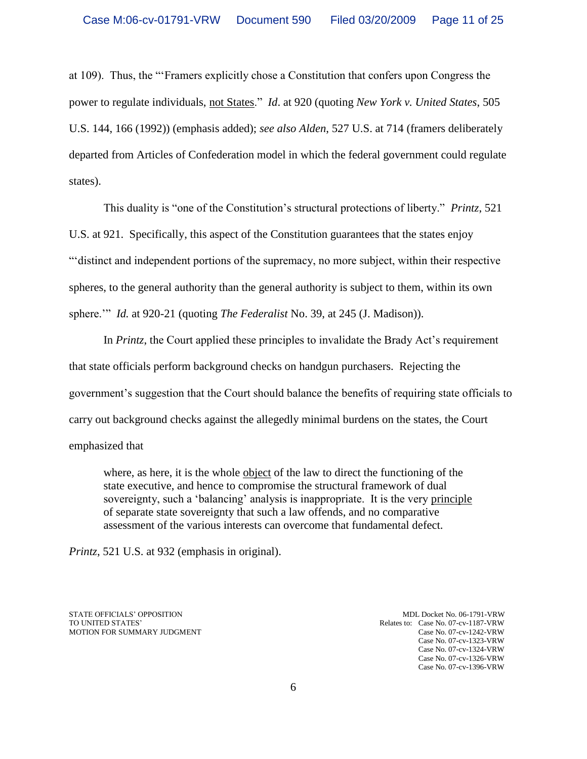at 109). Thus, the ""Framers explicitly chose a Constitution that confers upon Congress the power to regulate individuals, not States." *Id*. at 920 (quoting *New York v. United States*, 505 U.S. 144, 166 (1992)) (emphasis added); *see also Alden*, 527 U.S. at 714 (framers deliberately departed from Articles of Confederation model in which the federal government could regulate states).

This duality is "one of the Constitution"s structural protections of liberty." *Printz*, 521 U.S. at 921. Specifically, this aspect of the Constitution guarantees that the states enjoy ""distinct and independent portions of the supremacy, no more subject, within their respective spheres, to the general authority than the general authority is subject to them, within its own sphere."" *Id.* at 920-21 (quoting *The Federalist* No. 39, at 245 (J. Madison)).

In *Printz*, the Court applied these principles to invalidate the Brady Act"s requirement that state officials perform background checks on handgun purchasers. Rejecting the government"s suggestion that the Court should balance the benefits of requiring state officials to carry out background checks against the allegedly minimal burdens on the states, the Court emphasized that

where, as here, it is the whole object of the law to direct the functioning of the state executive, and hence to compromise the structural framework of dual sovereignty, such a "balancing" analysis is inappropriate. It is the very principle of separate state sovereignty that such a law offends, and no comparative assessment of the various interests can overcome that fundamental defect.

*Printz*, 521 U.S. at 932 (emphasis in original).

STATE OFFICIALS' OPPOSITION MDL Docket No. 06-1791-VRW MDL Docket No. 06-1791-VRW TO UNITED STATES' MOTION FOR SUMMARY JUDGMENT Case No. 07-cv-1242-VRW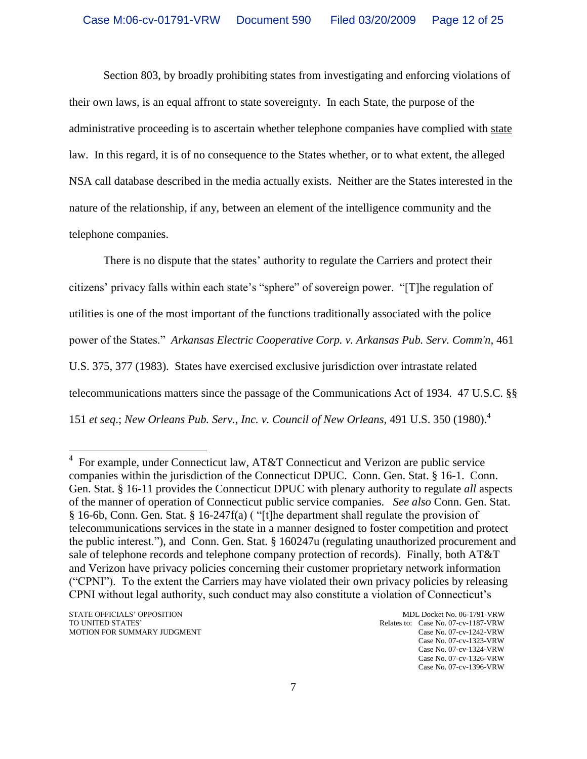Section 803, by broadly prohibiting states from investigating and enforcing violations of their own laws, is an equal affront to state sovereignty. In each State, the purpose of the administrative proceeding is to ascertain whether telephone companies have complied with state law. In this regard, it is of no consequence to the States whether, or to what extent, the alleged NSA call database described in the media actually exists. Neither are the States interested in the nature of the relationship, if any, between an element of the intelligence community and the telephone companies.

There is no dispute that the states' authority to regulate the Carriers and protect their citizens" privacy falls within each state"s "sphere" of sovereign power. "[T]he regulation of utilities is one of the most important of the functions traditionally associated with the police power of the States." *Arkansas Electric Cooperative Corp. v. Arkansas Pub. Serv. Comm'n,* 461 U.S. 375, 377 (1983). States have exercised exclusive jurisdiction over intrastate related telecommunications matters since the passage of the Communications Act of 1934. 47 U.S.C. §§ 151 *et seq*.; *New Orleans Pub. Serv., Inc. v. Council of New Orleans,* 491 U.S. 350 (1980). 4

 4 For example, under Connecticut law, AT&T Connecticut and Verizon are public service companies within the jurisdiction of the Connecticut DPUC. Conn. Gen. Stat. § 16-1. Conn. Gen. Stat. § 16-11 provides the Connecticut DPUC with plenary authority to regulate *all* aspects of the manner of operation of Connecticut public service companies. *See also* Conn. Gen. Stat. § 16-6b, Conn. Gen. Stat. § 16-247f(a) ( "[t]he department shall regulate the provision of telecommunications services in the state in a manner designed to foster competition and protect the public interest."), and Conn. Gen. Stat. § 160247u (regulating unauthorized procurement and sale of telephone records and telephone company protection of records). Finally, both AT&T and Verizon have privacy policies concerning their customer proprietary network information ("CPNI"). To the extent the Carriers may have violated their own privacy policies by releasing CPNI without legal authority, such conduct may also constitute a violation of Connecticut"s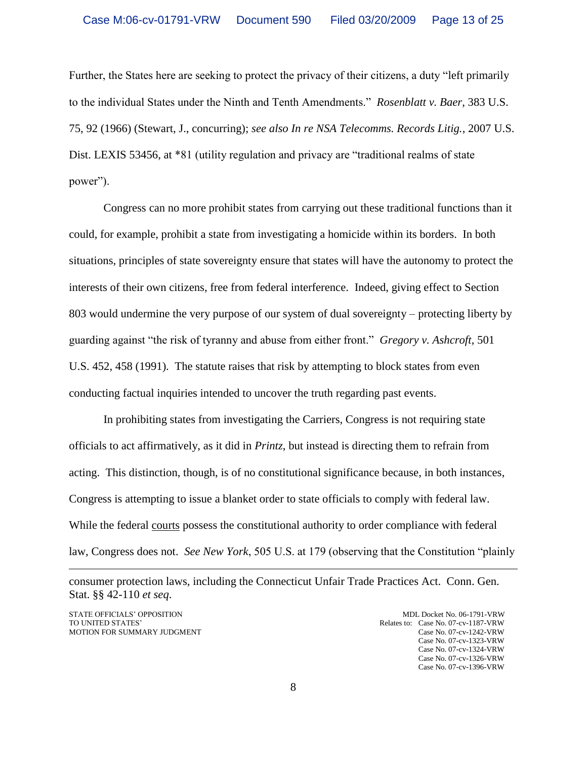Further, the States here are seeking to protect the privacy of their citizens, a duty "left primarily to the individual States under the Ninth and Tenth Amendments." *Rosenblatt v. Baer*, 383 U.S. 75, 92 (1966) (Stewart, J., concurring); *see also In re NSA Telecomms. Records Litig.*, 2007 U.S. Dist. LEXIS 53456, at \*81 (utility regulation and privacy are "traditional realms of state power").

Congress can no more prohibit states from carrying out these traditional functions than it could, for example, prohibit a state from investigating a homicide within its borders. In both situations, principles of state sovereignty ensure that states will have the autonomy to protect the interests of their own citizens, free from federal interference. Indeed, giving effect to Section 803 would undermine the very purpose of our system of dual sovereignty – protecting liberty by guarding against "the risk of tyranny and abuse from either front." *Gregory v. Ashcroft*, 501 U.S. 452, 458 (1991). The statute raises that risk by attempting to block states from even conducting factual inquiries intended to uncover the truth regarding past events.

In prohibiting states from investigating the Carriers, Congress is not requiring state officials to act affirmatively, as it did in *Printz*, but instead is directing them to refrain from acting. This distinction, though, is of no constitutional significance because, in both instances, Congress is attempting to issue a blanket order to state officials to comply with federal law. While the federal courts possess the constitutional authority to order compliance with federal law, Congress does not. *See New York*, 505 U.S. at 179 (observing that the Constitution "plainly

consumer protection laws, including the Connecticut Unfair Trade Practices Act. Conn. Gen. Stat. §§ 42-110 *et seq*.

STATE OFFICIALS' OPPOSITION MDL Docket No. 06-1791-VRW<br>TO UNITED STATES' Relates to: Case No. 07-cv-1187-VRW

 $\overline{a}$ 

Relates to: Case No. 07-cv-1187-VRW MOTION FOR SUMMARY JUDGMENT Case No. 07-cv-1242-VRW Case No. 07-cv-1323-VRW Case No. 07-cv-1324-VRW Case No. 07-cv-1326-VRW Case No. 07-cv-1396-VRW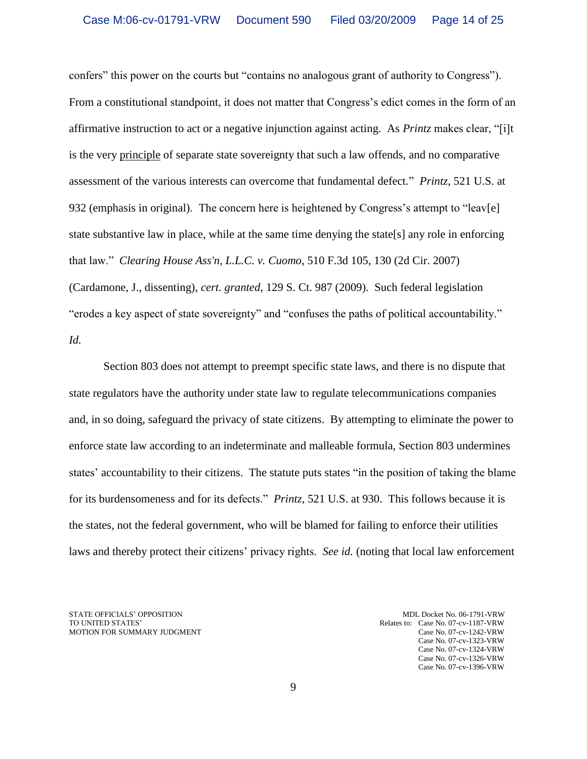confers" this power on the courts but "contains no analogous grant of authority to Congress"). From a constitutional standpoint, it does not matter that Congress"s edict comes in the form of an affirmative instruction to act or a negative injunction against acting. As *Printz* makes clear, "[i]t is the very principle of separate state sovereignty that such a law offends, and no comparative assessment of the various interests can overcome that fundamental defect." *Printz*, 521 U.S. at 932 (emphasis in original). The concern here is heightened by Congress's attempt to "leav[e] state substantive law in place, while at the same time denying the state[s] any role in enforcing that law." *Clearing House Ass'n, L.L.C. v. Cuomo*, 510 F.3d 105, 130 (2d Cir. 2007) (Cardamone, J., dissenting), *cert. granted*, 129 S. Ct. 987 (2009). Such federal legislation "erodes a key aspect of state sovereignty" and "confuses the paths of political accountability." *Id.*

Section 803 does not attempt to preempt specific state laws, and there is no dispute that state regulators have the authority under state law to regulate telecommunications companies and, in so doing, safeguard the privacy of state citizens. By attempting to eliminate the power to enforce state law according to an indeterminate and malleable formula, Section 803 undermines states" accountability to their citizens. The statute puts states "in the position of taking the blame for its burdensomeness and for its defects." *Printz*, 521 U.S. at 930. This follows because it is the states, not the federal government, who will be blamed for failing to enforce their utilities laws and thereby protect their citizens" privacy rights. *See id.* (noting that local law enforcement

STATE OFFICIALS' OPPOSITION MDL Docket No. 06-1791-VRW MDL Docket No. 06-1791-VRW TO UNITED STATES' MOTION FOR SUMMARY JUDGMENT Case No. 07-cv-1242-VRW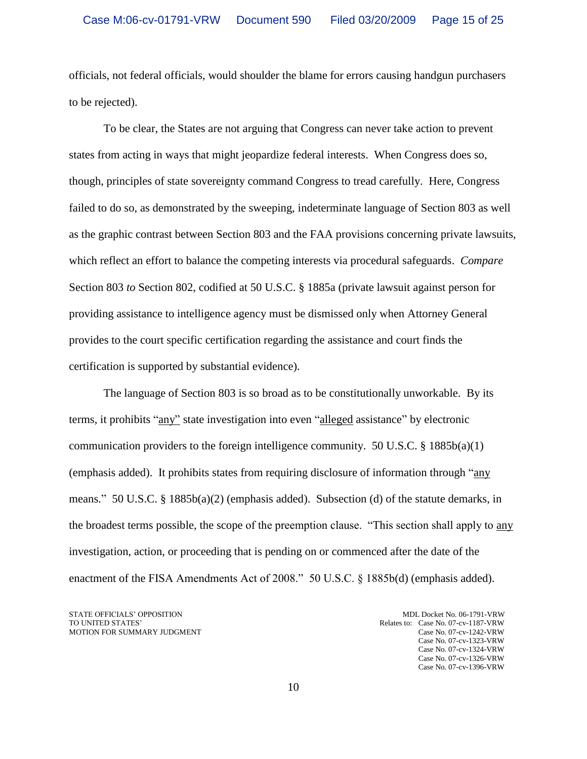officials, not federal officials, would shoulder the blame for errors causing handgun purchasers to be rejected).

To be clear, the States are not arguing that Congress can never take action to prevent states from acting in ways that might jeopardize federal interests. When Congress does so, though, principles of state sovereignty command Congress to tread carefully. Here, Congress failed to do so, as demonstrated by the sweeping, indeterminate language of Section 803 as well as the graphic contrast between Section 803 and the FAA provisions concerning private lawsuits, which reflect an effort to balance the competing interests via procedural safeguards. *Compare* Section 803 *to* Section 802, codified at 50 U.S.C. § 1885a (private lawsuit against person for providing assistance to intelligence agency must be dismissed only when Attorney General provides to the court specific certification regarding the assistance and court finds the certification is supported by substantial evidence).

The language of Section 803 is so broad as to be constitutionally unworkable. By its terms, it prohibits "any" state investigation into even "alleged assistance" by electronic communication providers to the foreign intelligence community. 50 U.S.C.  $\S$  1885b(a)(1) (emphasis added). It prohibits states from requiring disclosure of information through "any means." 50 U.S.C. § 1885b(a)(2) (emphasis added). Subsection (d) of the statute demarks, in the broadest terms possible, the scope of the preemption clause. "This section shall apply to any investigation, action, or proceeding that is pending on or commenced after the date of the enactment of the FISA Amendments Act of 2008." 50 U.S.C. § 1885b(d) (emphasis added).

STATE OFFICIALS' OPPOSITION MDL Docket No. 06-1791-VRW<br>TO UNITED STATES' Relates to: Case No. 07-cv-1187-VRW

Relates to: Case No. 07-cv-1187-VRW MOTION FOR SUMMARY JUDGMENT Case No. 07-cv-1242-VRW Case No. 07-cv-1323-VRW Case No. 07-cv-1324-VRW Case No. 07-cv-1326-VRW Case No. 07-cv-1396-VRW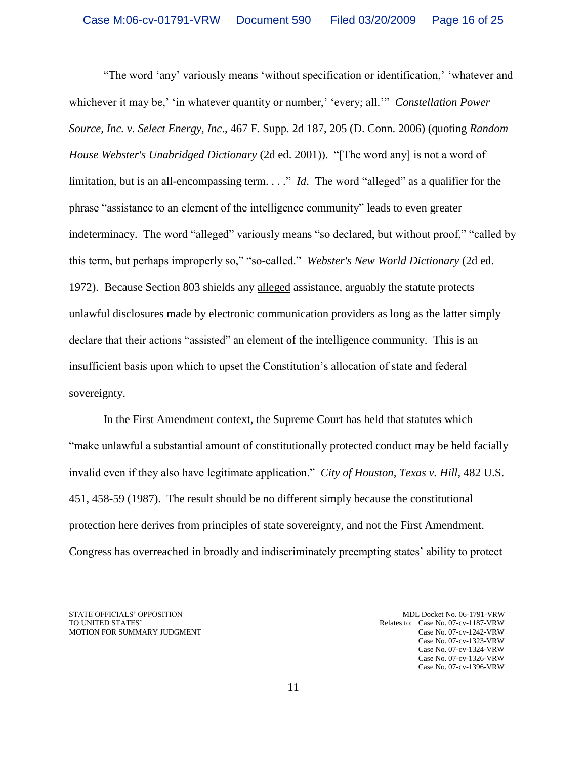"The word "any" variously means "without specification or identification," "whatever and whichever it may be,' 'in whatever quantity or number,' 'every; all.'" *Constellation Power Source, Inc. v. Select Energy, Inc*., 467 F. Supp. 2d 187, 205 (D. Conn. 2006) (quoting *Random House Webster's Unabridged Dictionary* (2d ed. 2001)). "[The word any] is not a word of limitation, but is an all-encompassing term. . . ." *Id*. The word "alleged" as a qualifier for the phrase "assistance to an element of the intelligence community" leads to even greater indeterminacy. The word "alleged" variously means "so declared, but without proof," "called by this term, but perhaps improperly so," "so-called." *Webster's New World Dictionary* (2d ed. 1972). Because Section 803 shields any alleged assistance, arguably the statute protects unlawful disclosures made by electronic communication providers as long as the latter simply declare that their actions "assisted" an element of the intelligence community. This is an insufficient basis upon which to upset the Constitution"s allocation of state and federal sovereignty.

In the First Amendment context, the Supreme Court has held that statutes which "make unlawful a substantial amount of constitutionally protected conduct may be held facially invalid even if they also have legitimate application." *City of Houston, Texas v. Hill*, 482 U.S. 451, 458-59 (1987). The result should be no different simply because the constitutional protection here derives from principles of state sovereignty, and not the First Amendment. Congress has overreached in broadly and indiscriminately preempting states" ability to protect

STATE OFFICIALS' OPPOSITION MDL Docket No. 06-1791-VRW MDL Docket No. 06-1791-VRW TO UNITED STATES' MOTION FOR SUMMARY JUDGMENT Case No. 07-cv-1242-VRW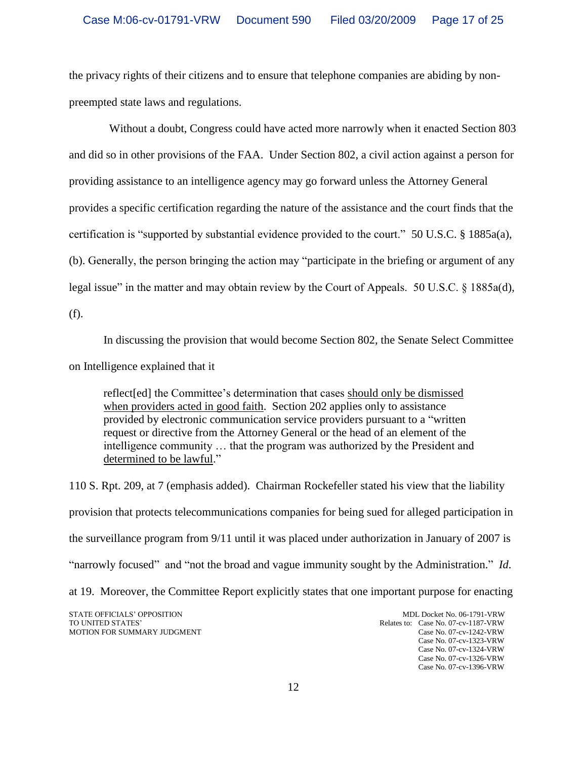the privacy rights of their citizens and to ensure that telephone companies are abiding by nonpreempted state laws and regulations.

 Without a doubt, Congress could have acted more narrowly when it enacted Section 803 and did so in other provisions of the FAA. Under Section 802, a civil action against a person for providing assistance to an intelligence agency may go forward unless the Attorney General provides a specific certification regarding the nature of the assistance and the court finds that the certification is "supported by substantial evidence provided to the court." 50 U.S.C. § 1885a(a), (b). Generally, the person bringing the action may "participate in the briefing or argument of any legal issue" in the matter and may obtain review by the Court of Appeals. 50 U.S.C. § 1885a(d),

(f).

In discussing the provision that would become Section 802, the Senate Select Committee

on Intelligence explained that it

reflect[ed] the Committee"s determination that cases should only be dismissed when providers acted in good faith. Section 202 applies only to assistance provided by electronic communication service providers pursuant to a "written request or directive from the Attorney General or the head of an element of the intelligence community … that the program was authorized by the President and determined to be lawful."

110 S. Rpt. 209, at 7 (emphasis added). Chairman Rockefeller stated his view that the liability provision that protects telecommunications companies for being sued for alleged participation in the surveillance program from 9/11 until it was placed under authorization in January of 2007 is "narrowly focused" and "not the broad and vague immunity sought by the Administration." *Id*. at 19. Moreover, the Committee Report explicitly states that one important purpose for enacting

STATE OFFICIALS' OPPOSITION MDL Docket No. 06-1791-VRW<br>TO UNITED STATES' Relates to: Case No. 07-cv-1187-VRW

Relates to: Case No. 07-cv-1187-VRW MOTION FOR SUMMARY JUDGMENT Case No. 07-cv-1242-VRW Case No. 07-cv-1323-VRW Case No. 07-cv-1324-VRW Case No. 07-cv-1326-VRW Case No. 07-cv-1396-VRW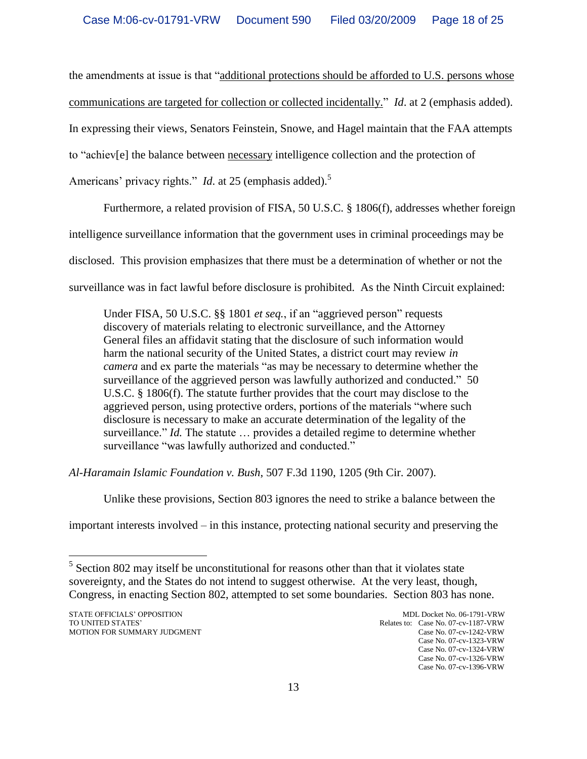the amendments at issue is that "additional protections should be afforded to U.S. persons whose communications are targeted for collection or collected incidentally." *Id*. at 2 (emphasis added). In expressing their views, Senators Feinstein, Snowe, and Hagel maintain that the FAA attempts to "achiev[e] the balance between necessary intelligence collection and the protection of Americans' privacy rights." *Id.* at 25 (emphasis added).<sup>5</sup>

Furthermore, a related provision of FISA, 50 U.S.C. § 1806(f), addresses whether foreign intelligence surveillance information that the government uses in criminal proceedings may be disclosed. This provision emphasizes that there must be a determination of whether or not the surveillance was in fact lawful before disclosure is prohibited. As the Ninth Circuit explained:

Under FISA, 50 U.S.C. §§ 1801 *et seq.*, if an "aggrieved person" requests discovery of materials relating to electronic surveillance, and the Attorney General files an affidavit stating that the disclosure of such information would harm the national security of the United States, a district court may review *in camera* and ex parte the materials "as may be necessary to determine whether the surveillance of the aggrieved person was lawfully authorized and conducted." 50 U.S.C. § 1806(f). The statute further provides that the court may disclose to the aggrieved person, using protective orders, portions of the materials "where such disclosure is necessary to make an accurate determination of the legality of the surveillance." *Id.* The statute … provides a detailed regime to determine whether surveillance "was lawfully authorized and conducted."

*Al-Haramain Islamic Foundation v. Bush*, 507 F.3d 1190, 1205 (9th Cir. 2007).

Unlike these provisions, Section 803 ignores the need to strike a balance between the

important interests involved – in this instance, protecting national security and preserving the

<sup>&</sup>lt;sup>5</sup> Section 802 may itself be unconstitutional for reasons other than that it violates state sovereignty, and the States do not intend to suggest otherwise. At the very least, though, Congress, in enacting Section 802, attempted to set some boundaries. Section 803 has none.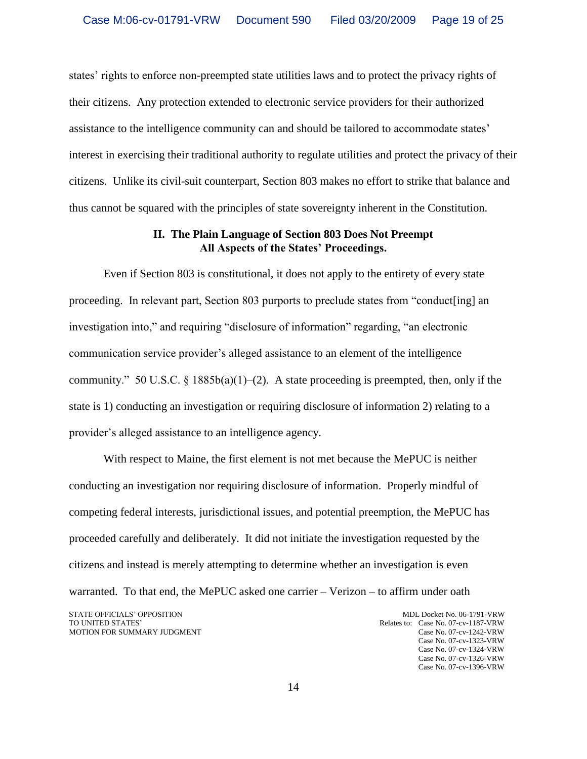states" rights to enforce non-preempted state utilities laws and to protect the privacy rights of their citizens. Any protection extended to electronic service providers for their authorized assistance to the intelligence community can and should be tailored to accommodate states" interest in exercising their traditional authority to regulate utilities and protect the privacy of their citizens. Unlike its civil-suit counterpart, Section 803 makes no effort to strike that balance and thus cannot be squared with the principles of state sovereignty inherent in the Constitution.

## **II. The Plain Language of Section 803 Does Not Preempt All Aspects of the States' Proceedings.**

Even if Section 803 is constitutional, it does not apply to the entirety of every state proceeding. In relevant part, Section 803 purports to preclude states from "conduct[ing] an investigation into," and requiring "disclosure of information" regarding, "an electronic communication service provider"s alleged assistance to an element of the intelligence community." 50 U.S.C. § 1885b(a)(1)–(2). A state proceeding is preempted, then, only if the state is 1) conducting an investigation or requiring disclosure of information 2) relating to a provider"s alleged assistance to an intelligence agency.

With respect to Maine, the first element is not met because the MePUC is neither conducting an investigation nor requiring disclosure of information. Properly mindful of competing federal interests, jurisdictional issues, and potential preemption, the MePUC has proceeded carefully and deliberately. It did not initiate the investigation requested by the citizens and instead is merely attempting to determine whether an investigation is even warranted. To that end, the MePUC asked one carrier – Verizon – to affirm under oath

STATE OFFICIALS' OPPOSITION MDL Docket No. 06-1791-VRW<br>TO UNITED STATES' Relates to: Case No. 07-cv-1187-VRW Relates to: Case No. 07-cv-1187-VRW MOTION FOR SUMMARY JUDGMENT Case No. 07-cv-1242-VRW Case No. 07-cv-1323-VRW Case No. 07-cv-1324-VRW Case No. 07-cv-1326-VRW Case No. 07-cv-1396-VRW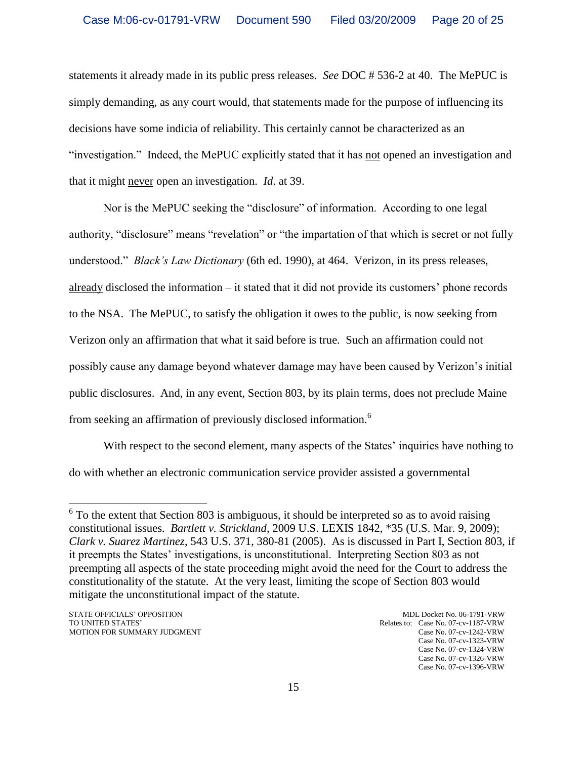statements it already made in its public press releases. *See* DOC # 536-2 at 40. The MePUC is simply demanding, as any court would, that statements made for the purpose of influencing its decisions have some indicia of reliability. This certainly cannot be characterized as an "investigation." Indeed, the MePUC explicitly stated that it has not opened an investigation and that it might never open an investigation. *Id*. at 39.

Nor is the MePUC seeking the "disclosure" of information. According to one legal authority, "disclosure" means "revelation" or "the impartation of that which is secret or not fully understood." *Black's Law Dictionary* (6th ed. 1990), at 464. Verizon, in its press releases, already disclosed the information – it stated that it did not provide its customers" phone records to the NSA. The MePUC, to satisfy the obligation it owes to the public, is now seeking from Verizon only an affirmation that what it said before is true. Such an affirmation could not possibly cause any damage beyond whatever damage may have been caused by Verizon"s initial public disclosures. And, in any event, Section 803, by its plain terms, does not preclude Maine from seeking an affirmation of previously disclosed information.<sup>6</sup>

With respect to the second element, many aspects of the States' inquiries have nothing to do with whether an electronic communication service provider assisted a governmental

 $6$  To the extent that Section 803 is ambiguous, it should be interpreted so as to avoid raising constitutional issues. *Bartlett v. Strickland*, 2009 U.S. LEXIS 1842, \*35 (U.S. Mar. 9, 2009); *Clark v. Suarez Martinez*, 543 U.S. 371, 380-81 (2005). As is discussed in Part I, Section 803, if it preempts the States" investigations, is unconstitutional. Interpreting Section 803 as not preempting all aspects of the state proceeding might avoid the need for the Court to address the constitutionality of the statute. At the very least, limiting the scope of Section 803 would mitigate the unconstitutional impact of the statute.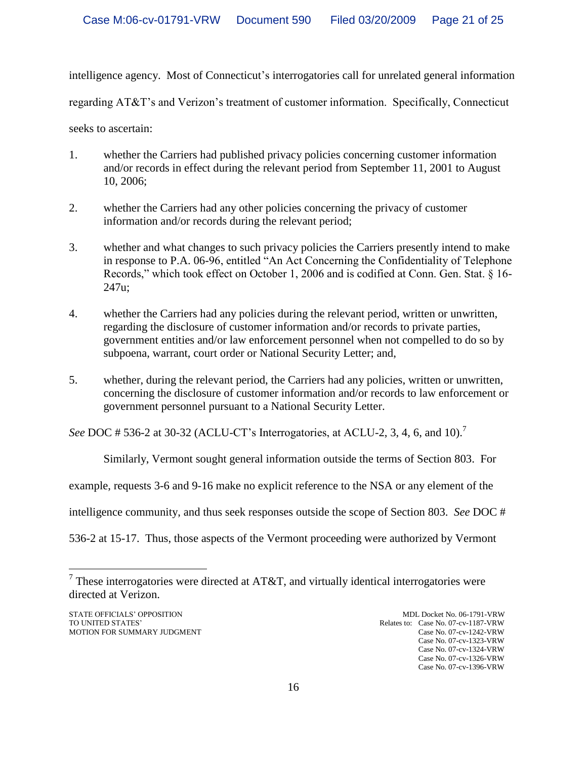intelligence agency. Most of Connecticut's interrogatories call for unrelated general information

regarding AT&T"s and Verizon"s treatment of customer information. Specifically, Connecticut

seeks to ascertain:

- 1. whether the Carriers had published privacy policies concerning customer information and/or records in effect during the relevant period from September 11, 2001 to August 10, 2006;
- 2. whether the Carriers had any other policies concerning the privacy of customer information and/or records during the relevant period;
- 3. whether and what changes to such privacy policies the Carriers presently intend to make in response to P.A. 06-96, entitled "An Act Concerning the Confidentiality of Telephone Records," which took effect on October 1, 2006 and is codified at Conn. Gen. Stat. § 16- 247u;
- 4. whether the Carriers had any policies during the relevant period, written or unwritten, regarding the disclosure of customer information and/or records to private parties, government entities and/or law enforcement personnel when not compelled to do so by subpoena, warrant, court order or National Security Letter; and,
- 5. whether, during the relevant period, the Carriers had any policies, written or unwritten, concerning the disclosure of customer information and/or records to law enforcement or government personnel pursuant to a National Security Letter.

*See* DOC # 536-2 at 30-32 (ACLU-CT's Interrogatories, at ACLU-2, 3, 4, 6, and 10).<sup>7</sup>

Similarly, Vermont sought general information outside the terms of Section 803. For

example, requests 3-6 and 9-16 make no explicit reference to the NSA or any element of the

intelligence community, and thus seek responses outside the scope of Section 803. *See* DOC #

536-2 at 15-17. Thus, those aspects of the Vermont proceeding were authorized by Vermont

STATE OFFICIALS' OPPOSITION MDL Docket No. 06-1791-VRW MDL Docket No. 06-1791-VRW TO UNITED STATES'

<sup>&</sup>lt;sup>7</sup> These interrogatories were directed at AT&T, and virtually identical interrogatories were directed at Verizon.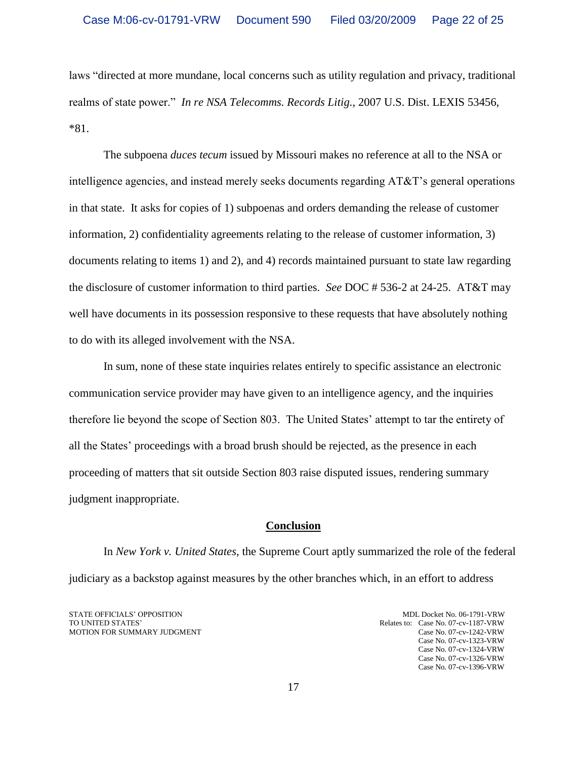laws "directed at more mundane, local concerns such as utility regulation and privacy, traditional realms of state power." *In re NSA Telecomms. Records Litig.*, 2007 U.S. Dist. LEXIS 53456, \*81.

The subpoena *duces tecum* issued by Missouri makes no reference at all to the NSA or intelligence agencies, and instead merely seeks documents regarding AT&T"s general operations in that state. It asks for copies of 1) subpoenas and orders demanding the release of customer information, 2) confidentiality agreements relating to the release of customer information, 3) documents relating to items 1) and 2), and 4) records maintained pursuant to state law regarding the disclosure of customer information to third parties. *See* DOC # 536-2 at 24-25. AT&T may well have documents in its possession responsive to these requests that have absolutely nothing to do with its alleged involvement with the NSA.

In sum, none of these state inquiries relates entirely to specific assistance an electronic communication service provider may have given to an intelligence agency, and the inquiries therefore lie beyond the scope of Section 803. The United States" attempt to tar the entirety of all the States" proceedings with a broad brush should be rejected, as the presence in each proceeding of matters that sit outside Section 803 raise disputed issues, rendering summary judgment inappropriate.

### **Conclusion**

In *New York v. United States*, the Supreme Court aptly summarized the role of the federal judiciary as a backstop against measures by the other branches which, in an effort to address

STATE OFFICIALS' OPPOSITION MDL Docket No. 06-1791-VRW<br>TO UNITED STATES' Relates to: Case No. 07-cv-1187-VRW MOTION FOR SUMMARY JUDGMENT Case No. 07-cv-1242-VRW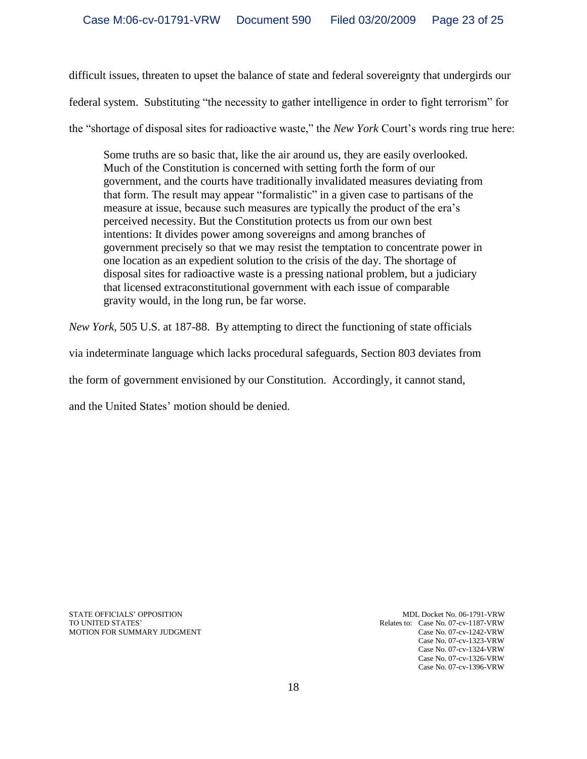difficult issues, threaten to upset the balance of state and federal sovereignty that undergirds our federal system. Substituting "the necessity to gather intelligence in order to fight terrorism" for the "shortage of disposal sites for radioactive waste," the *New York* Court"s words ring true here:

Some truths are so basic that, like the air around us, they are easily overlooked. Much of the Constitution is concerned with setting forth the form of our government, and the courts have traditionally invalidated measures deviating from that form. The result may appear "formalistic" in a given case to partisans of the measure at issue, because such measures are typically the product of the era"s perceived necessity. But the Constitution protects us from our own best intentions: It divides power among sovereigns and among branches of government precisely so that we may resist the temptation to concentrate power in one location as an expedient solution to the crisis of the day. The shortage of disposal sites for radioactive waste is a pressing national problem, but a judiciary that licensed extraconstitutional government with each issue of comparable gravity would, in the long run, be far worse.

*New York*, 505 U.S. at 187-88. By attempting to direct the functioning of state officials

via indeterminate language which lacks procedural safeguards, Section 803 deviates from

the form of government envisioned by our Constitution. Accordingly, it cannot stand,

and the United States' motion should be denied.

STATE OFFICIALS' OPPOSITION MDL Docket No. 06-1791-VRW<br>TO UNITED STATES' Relates to: Case No. 07-cv-1187-VRW MOTION FOR SUMMARY JUDGMENT Case No. 07-cv-1242-VRW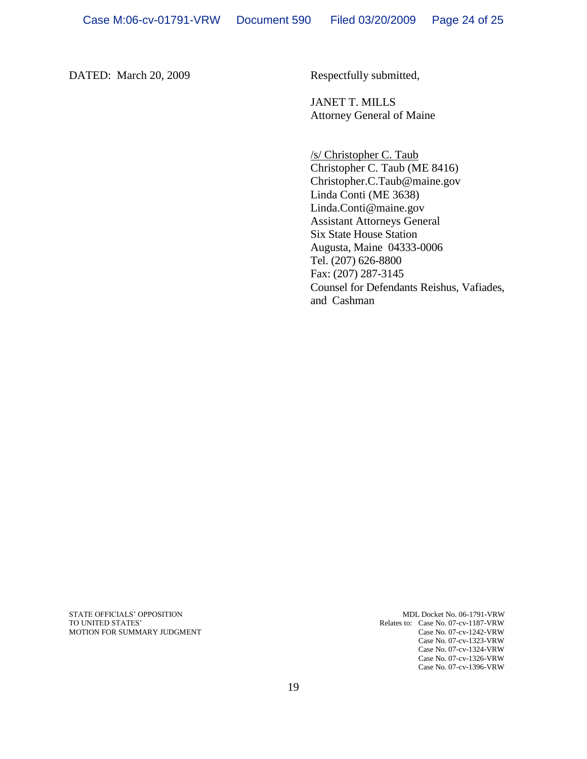DATED: March 20, 2009 Respectfully submitted,

JANET T. MILLS Attorney General of Maine

/s/ Christopher C. Taub Christopher C. Taub (ME 8416) Christopher.C.Taub@maine.gov Linda Conti (ME 3638) Linda.Conti@maine.gov Assistant Attorneys General Six State House Station Augusta, Maine 04333-0006 Tel. (207) 626-8800 Fax: (207) 287-3145 Counsel for Defendants Reishus, Vafiades, and Cashman

STATE OFFICIALS' OPPOSITION MDL Docket No. 06-1791-VRW MDL Docket No. 06-1791-VRW TO UNITED STATES'

Relates to: Case No. 07-cv-1187-VRW MOTION FOR SUMMARY JUDGMENT Case No. 07-cv-1242-VRW Case No. 07-cv-1323-VRW Case No. 07-cv-1324-VRW Case No. 07-cv-1326-VRW Case No. 07-cv-1396-VRW